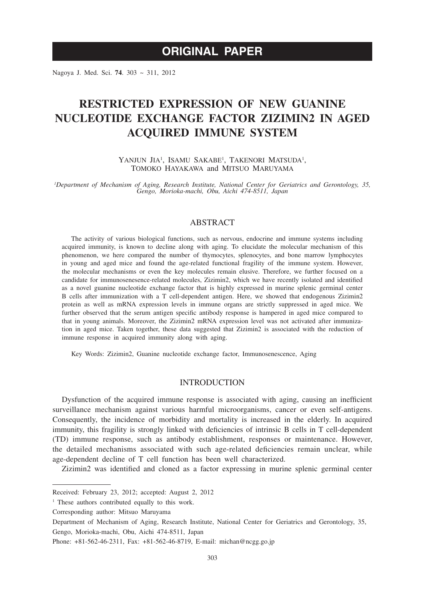# **ORIGINAL PAPER**

Nagoya J. Med. Sci. **74**. 303 ~ 311, 2012

# **RESTRICTED EXPRESSION OF NEW GUANINE NUCLEOTIDE EXCHANGE FACTOR ZIZIMIN2 IN AGED ACQUIRED IMMUNE SYSTEM**

YANJUN JIA<sup>1</sup>, ISAMU SAKABE<sup>1</sup>, TAKENORI MATSUDA<sup>1</sup>, TOMOKO HAYAKAWA and MITSUO MARUYAMA

*1 Department of Mechanism of Aging, Research Institute, National Center for Geriatrics and Gerontology, 35, Gengo, Morioka-machi, Obu, Aichi 474-8511, Japan*

# ABSTRACT

The activity of various biological functions, such as nervous, endocrine and immune systems including acquired immunity, is known to decline along with aging. To elucidate the molecular mechanism of this phenomenon, we here compared the number of thymocytes, splenocytes, and bone marrow lymphocytes in young and aged mice and found the age-related functional fragility of the immune system. However, the molecular mechanisms or even the key molecules remain elusive. Therefore, we further focused on a candidate for immunosenesence-related molecules, Zizimin2, which we have recently isolated and identified as a novel guanine nucleotide exchange factor that is highly expressed in murine splenic germinal center B cells after immunization with a T cell-dependent antigen. Here, we showed that endogenous Zizimin2 protein as well as mRNA expression levels in immune organs are strictly suppressed in aged mice. We further observed that the serum antigen specific antibody response is hampered in aged mice compared to that in young animals. Moreover, the Zizimin2 mRNA expression level was not activated after immunization in aged mice. Taken together, these data suggested that Zizimin2 is associated with the reduction of immune response in acquired immunity along with aging.

Key Words: Zizimin2, Guanine nucleotide exchange factor, Immunosenescence, Aging

# **INTRODUCTION**

Dysfunction of the acquired immune response is associated with aging, causing an inefficient surveillance mechanism against various harmful microorganisms, cancer or even self-antigens. Consequently, the incidence of morbidity and mortality is increased in the elderly. In acquired immunity, this fragility is strongly linked with deficiencies of intrinsic B cells in T cell-dependent (TD) immune response, such as antibody establishment, responses or maintenance. However, the detailed mechanisms associated with such age-related deficiencies remain unclear, while age-dependent decline of T cell function has been well characterized.

Zizimin2 was identified and cloned as a factor expressing in murine splenic germinal center

Received: February 23, 2012; accepted: August 2, 2012

<sup>&</sup>lt;sup>1</sup> These authors contributed equally to this work.

Corresponding author: Mitsuo Maruyama

Department of Mechanism of Aging, Research Institute, National Center for Geriatrics and Gerontology, 35, Gengo, Morioka-machi, Obu, Aichi 474-8511, Japan

Phone: +81-562-46-2311, Fax: +81-562-46-8719, E-mail: michan@ncgg.go.jp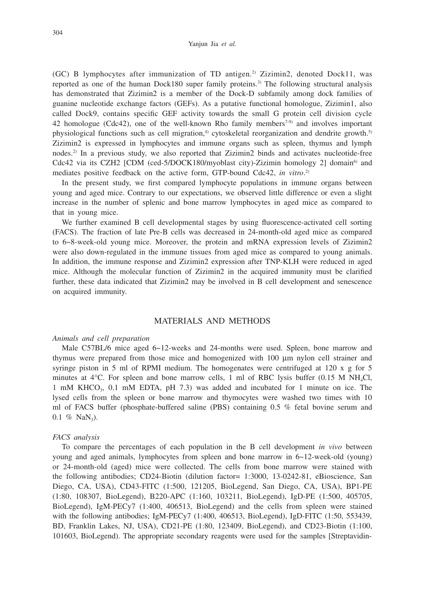(GC) B lymphocytes after immunization of TD antigen.<sup>2)</sup> Zizimin2, denoted Dock11, was reported as one of the human Dock180 super family proteins.<sup>3)</sup> The following structural analysis has demonstrated that Zizimin2 is a member of the Dock-D subfamily among dock families of guanine nucleotide exchange factors (GEFs). As a putative functional homologue, Zizimin1, also called Dock9, contains specific GEF activity towards the small G protein cell division cycle 42 homologue (Cdc42), one of the well-known Rho family members<sup>7.9)</sup> and involves important physiological functions such as cell migration, $4$ ) cytoskeletal reorganization and dendrite growth.<sup>5)</sup> Zizimin2 is expressed in lymphocytes and immune organs such as spleen, thymus and lymph nodes.2) In a previous study, we also reported that Zizimin2 binds and activates nucleotide-free Cdc42 via its CZH2 [CDM (ced-5/DOCK180/myoblast city)-Zizimin homology 2] domain<sup>6)</sup> and mediates positive feedback on the active form, GTP-bound Cdc42, *in vitro*. 2)

In the present study, we first compared lymphocyte populations in immune organs between young and aged mice. Contrary to our expectations, we observed little difference or even a slight increase in the number of splenic and bone marrow lymphocytes in aged mice as compared to that in young mice.

We further examined B cell developmental stages by using fluorescence-activated cell sorting (FACS). The fraction of late Pre-B cells was decreased in 24-month-old aged mice as compared to 6~8-week-old young mice. Moreover, the protein and mRNA expression levels of Zizimin2 were also down-regulated in the immune tissues from aged mice as compared to young animals. In addition, the immune response and Zizimin2 expression after TNP-KLH were reduced in aged mice. Although the molecular function of Zizimin2 in the acquired immunity must be clarified further, these data indicated that Zizimin2 may be involved in B cell development and senescence on acquired immunity.

# MATERIALS AND METHODS

#### *Animals and cell preparation*

Male C57BL/6 mice aged 6~12-weeks and 24-months were used. Spleen, bone marrow and thymus were prepared from those mice and homogenized with 100  $\mu$ m nylon cell strainer and syringe piston in 5 ml of RPMI medium. The homogenates were centrifuged at 120 x g for 5 minutes at  $4^{\circ}$ C. For spleen and bone marrow cells, 1 ml of RBC lysis buffer (0.15 M NH<sub>4</sub>Cl, 1 mM KHCO<sub>3</sub>, 0.1 mM EDTA, pH 7.3) was added and incubated for 1 minute on ice. The lysed cells from the spleen or bone marrow and thymocytes were washed two times with 10 ml of FACS buffer (phosphate-buffered saline (PBS) containing 0.5 % fetal bovine serum and 0.1 % NaN<sub>3</sub>).

# *FACS analysis*

To compare the percentages of each population in the B cell development *in vivo* between young and aged animals, lymphocytes from spleen and bone marrow in 6~12-week-old (young) or 24-month-old (aged) mice were collected. The cells from bone marrow were stained with the following antibodies; CD24-Biotin (dilution factor= 1:3000, 13-0242-81, eBioscience, San Diego, CA, USA), CD43-FITC (1:500, 121205, BioLegend, San Diego, CA, USA), BP1-PE (1:80, 108307, BioLegend), B220-APC (1:160, 103211, BioLegend), IgD-PE (1:500, 405705, BioLegend), IgM-PECy7 (1:400, 406513, BioLegend) and the cells from spleen were stained with the following antibodies; IgM-PECy7 (1:400, 406513, BioLegend), IgD-FITC (1:50, 553439, BD, Franklin Lakes, NJ, USA), CD21-PE (1:80, 123409, BioLegend), and CD23-Biotin (1:100, 101603, BioLegend). The appropriate secondary reagents were used for the samples [Streptavidin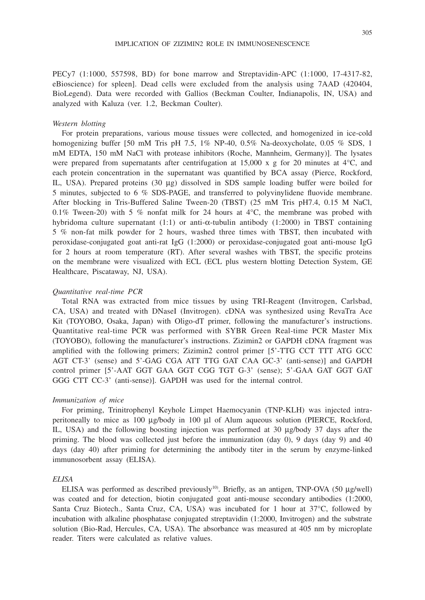PECy7 (1:1000, 557598, BD) for bone marrow and Streptavidin-APC (1:1000, 17-4317-82, eBioscience) for spleen]. Dead cells were excluded from the analysis using 7AAD (420404, BioLegend). Data were recorded with Gallios (Beckman Coulter, Indianapolis, IN, USA) and analyzed with Kaluza (ver. 1.2, Beckman Coulter).

#### *Western blotting*

For protein preparations, various mouse tissues were collected, and homogenized in ice-cold homogenizing buffer [50 mM Tris pH 7.5, 1% NP-40, 0.5% Na-deoxycholate, 0.05 % SDS, 1 mM EDTA, 150 mM NaCl with protease inhibitors (Roche, Mannheim, Germany)]. The lysates were prepared from supernatants after centrifugation at 15,000 x g for 20 minutes at  $4^{\circ}$ C, and each protein concentration in the supernatant was quantified by BCA assay (Pierce, Rockford, IL, USA). Prepared proteins (30 µg) dissolved in SDS sample loading buffer were boiled for 5 minutes, subjected to 6 % SDS-PAGE, and transferred to polyvinylidene fluovide membrane. After blocking in Tris-Buffered Saline Tween-20 (TBST) (25 mM Tris pH7.4, 0.15 M NaCl, 0.1% Tween-20) with 5 % nonfat milk for 24 hours at  $4^{\circ}$ C, the membrane was probed with hybridoma culture supernatant  $(1:1)$  or anti- $\alpha$ -tubulin antibody  $(1:2000)$  in TBST containing 5 % non-fat milk powder for 2 hours, washed three times with TBST, then incubated with peroxidase-conjugated goat anti-rat IgG (1:2000) or peroxidase-conjugated goat anti-mouse IgG for 2 hours at room temperature (RT). After several washes with TBST, the specific proteins on the membrane were visualized with ECL (ECL plus western blotting Detection System, GE Healthcare, Piscataway, NJ, USA).

#### *Quantitative real-time PCR*

Total RNA was extracted from mice tissues by using TRI-Reagent (Invitrogen, Carlsbad, CA, USA) and treated with DNaseI (Invitrogen). cDNA was synthesized using RevaTra Ace Kit (TOYOBO, Osaka, Japan) with Oligo-dT primer, following the manufacturer's instructions. Quantitative real-time PCR was performed with SYBR Green Real-time PCR Master Mix (TOYOBO), following the manufacturer's instructions. Zizimin2 or GAPDH cDNA fragment was amplified with the following primers; Zizimin2 control primer [5'-TTG CCT TTT ATG GCC AGT CT-3' (sense) and 5'-GAG CGA ATT TTG GAT CAA GC-3' (anti-sense)] and GAPDH control primer [5'-AAT GGT GAA GGT CGG TGT G-3' (sense); 5'-GAA GAT GGT GAT GGG CTT CC-3' (anti-sense)]. GAPDH was used for the internal control.

### *Immunization of mice*

For priming, Trinitrophenyl Keyhole Limpet Haemocyanin (TNP-KLH) was injected intraperitoneally to mice as  $100 \mu$ g/body in  $100 \mu$ l of Alum aqueous solution (PIERCE, Rockford, IL, USA) and the following boosting injection was performed at 30  $\mu$ g/body 37 days after the priming. The blood was collected just before the immunization (day 0), 9 days (day 9) and 40 days (day 40) after priming for determining the antibody titer in the serum by enzyme-linked immunosorbent assay (ELISA).

#### *ELISA*

ELISA was performed as described previously<sup>10</sup>. Briefly, as an antigen, TNP-OVA (50 µg/well) was coated and for detection, biotin conjugated goat anti-mouse secondary antibodies (1:2000, Santa Cruz Biotech., Santa Cruz, CA, USA) was incubated for 1 hour at  $37^{\circ}$ C, followed by incubation with alkaline phosphatase conjugated streptavidin (1:2000, Invitrogen) and the substrate solution (Bio-Rad, Hercules, CA, USA). The absorbance was measured at 405 nm by microplate reader. Titers were calculated as relative values.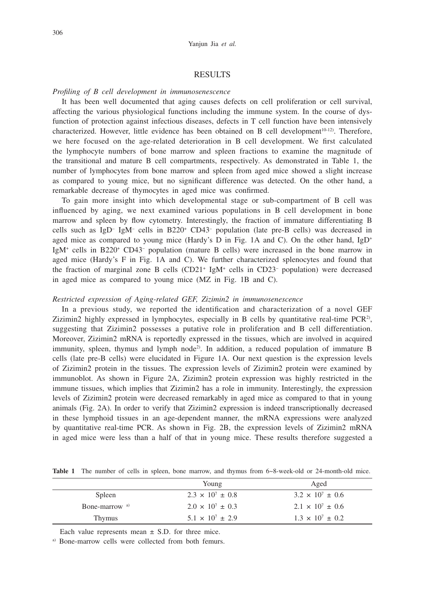### **RESULTS**

#### *Profiling of B cell development in immunosenescence*

It has been well documented that aging causes defects on cell proliferation or cell survival, affecting the various physiological functions including the immune system. In the course of dysfunction of protection against infectious diseases, defects in T cell function have been intensively characterized. However, little evidence has been obtained on B cell development<sup>10-12</sup>). Therefore, we here focused on the age-related deterioration in B cell development. We first calculated the lymphocyte numbers of bone marrow and spleen fractions to examine the magnitude of the transitional and mature B cell compartments, respectively. As demonstrated in Table 1, the number of lymphocytes from bone marrow and spleen from aged mice showed a slight increase as compared to young mice, but no significant difference was detected. On the other hand, a remarkable decrease of thymocytes in aged mice was confirmed.

To gain more insight into which developmental stage or sub-compartment of B cell was influenced by aging, we next examined various populations in B cell development in bone marrow and spleen by flow cytometry. Interestingly, the fraction of immature differentiating B cells such as IgD<sup>-</sup> IgM<sup>-</sup> cells in B220<sup>+</sup> CD43<sup>-</sup> population (late pre-B cells) was decreased in aged mice as compared to young mice (Hardy's D in Fig. 1A and C). On the other hand,  $IgD^+$ IgM<sup>+</sup> cells in B220<sup>+</sup> CD43<sup>-</sup> population (mature B cells) were increased in the bone marrow in aged mice (Hardy's F in Fig. 1A and C). We further characterized splenocytes and found that the fraction of marginal zone B cells  $(CD21<sup>+</sup> IgM<sup>+</sup>$  cells in  $CD23<sup>-</sup>$  population) were decreased in aged mice as compared to young mice (MZ in Fig. 1B and C).

# *Restricted expression of Aging-related GEF, Zizimin2 in immunosenescence*

In a previous study, we reported the identification and characterization of a novel GEF Zizimin2 highly expressed in lymphocytes, especially in B cells by quantitative real-time PCR<sup>2</sup>, suggesting that Zizimin2 possesses a putative role in proliferation and B cell differentiation. Moreover, Zizimin2 mRNA is reportedly expressed in the tissues, which are involved in acquired immunity, spleen, thymus and lymph node<sup>2)</sup>. In addition, a reduced population of immature B cells (late pre-B cells) were elucidated in Figure 1A. Our next question is the expression levels of Zizimin2 protein in the tissues. The expression levels of Zizimin2 protein were examined by immunoblot. As shown in Figure 2A, Zizimin2 protein expression was highly restricted in the immune tissues, which implies that Zizimin2 has a role in immunity. Interestingly, the expression levels of Zizimin2 protein were decreased remarkably in aged mice as compared to that in young animals (Fig. 2A). In order to verify that Zizimin2 expression is indeed transcriptionally decreased in these lymphoid tissues in an age-dependent manner, the mRNA expressions were analyzed by quantitative real-time PCR. As shown in Fig. 2B, the expression levels of Zizimin2 mRNA in aged mice were less than a half of that in young mice. These results therefore suggested a

|                           | Young                     | Aged                      |
|---------------------------|---------------------------|---------------------------|
| Spleen                    | $2.3 \times 10^7 \pm 0.8$ | $3.2 \times 10^7 \pm 0.6$ |
| Bone-marrow <sup>a)</sup> | $2.0 \times 10^7 \pm 0.3$ | $2.1 \times 10^7 \pm 0.6$ |
| Thymus                    | $5.1 \times 10^7 \pm 2.9$ | $1.3 \times 10^7 \pm 0.2$ |

Table 1 The number of cells in spleen, bone marrow, and thymus from 6~8-week-old or 24-month-old mice.

Each value represents mean  $\pm$  S.D. for three mice.

a) Bone-marrow cells were collected from both femurs.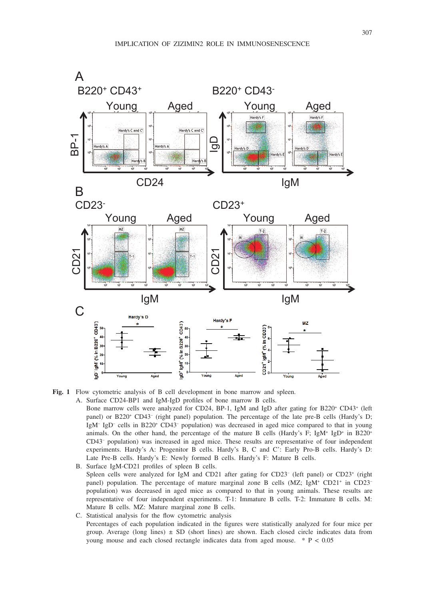

**Fig. 1** Flow cytometric analysis of B cell development in bone marrow and spleen.

- A. Surface CD24-BP1 and IgM-IgD profiles of bone marrow B cells.
	- Bone marrow cells were analyzed for CD24, BP-1, IgM and IgD after gating for B220<sup>+</sup> CD43<sup>+</sup> (left panel) or B220<sup>+</sup> CD43<sup>-</sup> (right panel) population. The percentage of the late pre-B cells (Hardy's D; IgM<sup>-</sup> IgD<sup>-</sup> cells in B220<sup>+</sup> CD43<sup>-</sup> population) was decreased in aged mice compared to that in young animals. On the other hand, the percentage of the mature B cells (Hardy's F;  $\text{IgM}^+$  IgD<sup>+</sup> in B220<sup>+</sup> CD43– population) was increased in aged mice. These results are representative of four independent experiments. Hardy's A: Progenitor B cells. Hardy's B, C and C': Early Pro-B cells. Hardy's D: Late Pre-B cells. Hardy's E: Newly formed B cells. Hardy's F: Mature B cells.
	- B. Surface IgM-CD21 profiles of spleen B cells. Spleen cells were analyzed for IgM and CD21 after gating for CD23<sup>-</sup> (left panel) or CD23<sup>+</sup> (right panel) population. The percentage of mature marginal zone B cells  $(MZ; IgM+CD21+$  in CD23population) was decreased in aged mice as compared to that in young animals. These results are representative of four independent experiments. T-1: Immature B cells. T-2: Immature B cells. M: Mature B cells. MZ: Mature marginal zone B cells.
	- C. Statistical analysis for the flow cytometric analysis Percentages of each population indicated in the figures were statistically analyzed for four mice per group. Average (long lines)  $\pm$  SD (short lines) are shown. Each closed circle indicates data from young mouse and each closed rectangle indicates data from aged mouse. \* P < 0.05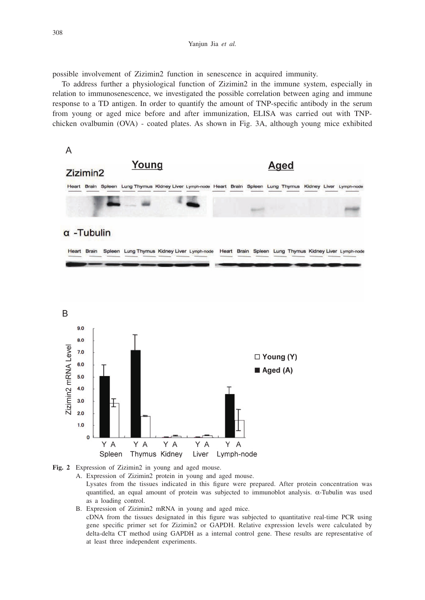possible involvement of Zizimin2 function in senescence in acquired immunity.

To address further a physiological function of Zizimin2 in the immune system, especially in relation to immunosenescence, we investigated the possible correlation between aging and immune response to a TD antigen. In order to quantify the amount of TNP-specific antibody in the serum from young or aged mice before and after immunization, ELISA was carried out with TNPchicken ovalbumin (OVA) - coated plates. As shown in Fig. 3A, although young mice exhibited





- A. Expression of Zizimin2 protein in young and aged mouse.
	- Lysates from the tissues indicated in this figure were prepared. After protein concentration was quantified, an equal amount of protein was subjected to immunoblot analysis.  $\alpha$ -Tubulin was used as a loading control.
- B. Expression of Zizimin2 mRNA in young and aged mice.

cDNA from the tissues designated in this figure was subjected to quantitative real-time PCR using gene specific primer set for Zizimin2 or GAPDH. Relative expression levels were calculated by delta-delta CT method using GAPDH as a internal control gene. These results are representative of at least three independent experiments.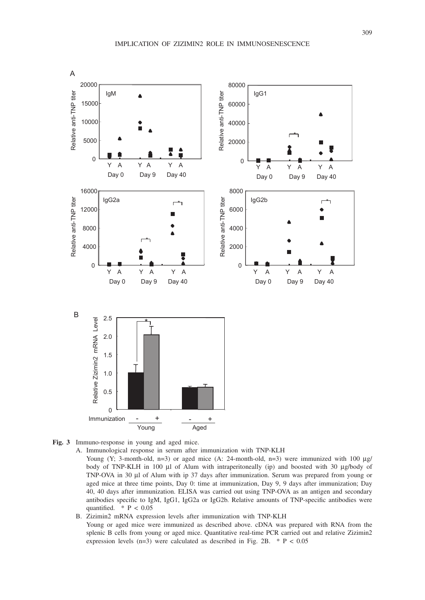

**Fig. 3** Immuno-response in young and aged mice.

A. Immunological response in serum after immunization with TNP-KLH

Young (Y; 3-month-old, n=3) or aged mice (A: 24-month-old, n=3) were immunized with 100  $\mu$ g/ body of TNP-KLH in 100 µl of Alum with intraperitoneally (ip) and boosted with 30 µg/body of TNP-OVA in 30 µl of Alum with ip 37 days after immunization. Serum was prepared from young or aged mice at three time points, Day 0: time at immunization, Day 9, 9 days after immunization; Day 40, 40 days after immunization. ELISA was carried out using TNP-OVA as an antigen and secondary antibodies specific to IgM, IgG1, IgG2a or IgG2b. Relative amounts of TNP-specific antibodies were quantified.  $*$  P < 0.05

B. Zizimin2 mRNA expression levels after immunization with TNP-KLH Young or aged mice were immunized as described above. cDNA was prepared with RNA from the splenic B cells from young or aged mice. Quantitative real-time PCR carried out and relative Zizimin2 expression levels (n=3) were calculated as described in Fig. 2B.  $* P < 0.05$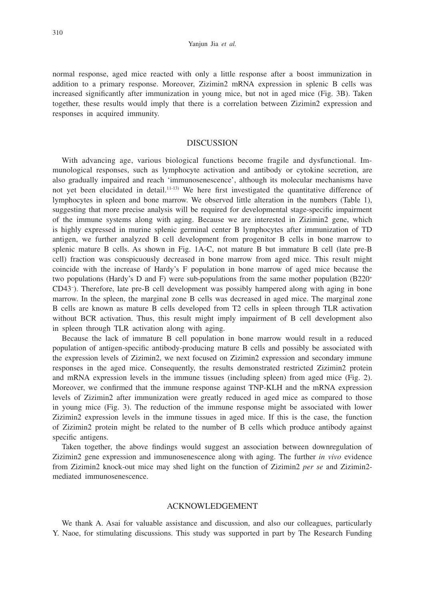normal response, aged mice reacted with only a little response after a boost immunization in addition to a primary response. Moreover, Zizimin2 mRNA expression in splenic B cells was increased significantly after immunization in young mice, but not in aged mice (Fig. 3B). Taken together, these results would imply that there is a correlation between Zizimin2 expression and responses in acquired immunity.

# DISCUSSION

With advancing age, various biological functions become fragile and dysfunctional. Immunological responses, such as lymphocyte activation and antibody or cytokine secretion, are also gradually impaired and reach 'immunosenescence', although its molecular mechanisms have not yet been elucidated in detail.<sup>11-13)</sup> We here first investigated the quantitative difference of lymphocytes in spleen and bone marrow. We observed little alteration in the numbers (Table 1), suggesting that more precise analysis will be required for developmental stage-specific impairment of the immune systems along with aging. Because we are interested in Zizimin2 gene, which is highly expressed in murine splenic germinal center B lymphocytes after immunization of TD antigen, we further analyzed B cell development from progenitor B cells in bone marrow to splenic mature B cells. As shown in Fig. 1A-C, not mature B but immature B cell (late pre-B cell) fraction was conspicuously decreased in bone marrow from aged mice. This result might coincide with the increase of Hardy's F population in bone marrow of aged mice because the two populations (Hardy's D and F) were sub-populations from the same mother population (B220+ CD43– ). Therefore, late pre-B cell development was possibly hampered along with aging in bone marrow. In the spleen, the marginal zone B cells was decreased in aged mice. The marginal zone B cells are known as mature B cells developed from T2 cells in spleen through TLR activation without BCR activation. Thus, this result might imply impairment of B cell development also in spleen through TLR activation along with aging.

Because the lack of immature B cell population in bone marrow would result in a reduced population of antigen-specific antibody-producing mature B cells and possibly be associated with the expression levels of Zizimin2, we next focused on Zizimin2 expression and secondary immune responses in the aged mice. Consequently, the results demonstrated restricted Zizimin2 protein and mRNA expression levels in the immune tissues (including spleen) from aged mice (Fig. 2). Moreover, we confirmed that the immune response against TNP-KLH and the mRNA expression levels of Zizimin2 after immunization were greatly reduced in aged mice as compared to those in young mice (Fig. 3). The reduction of the immune response might be associated with lower Zizimin2 expression levels in the immune tissues in aged mice. If this is the case, the function of Zizimin2 protein might be related to the number of B cells which produce antibody against specific antigens.

Taken together, the above findings would suggest an association between downregulation of Zizimin2 gene expression and immunosenescence along with aging. The further *in vivo* evidence from Zizimin2 knock-out mice may shed light on the function of Zizimin2 *per se* and Zizimin2 mediated immunosenescence.

#### ACKNOWLEDGEMENT

We thank A. Asai for valuable assistance and discussion, and also our colleagues, particularly Y. Naoe, for stimulating discussions. This study was supported in part by The Research Funding